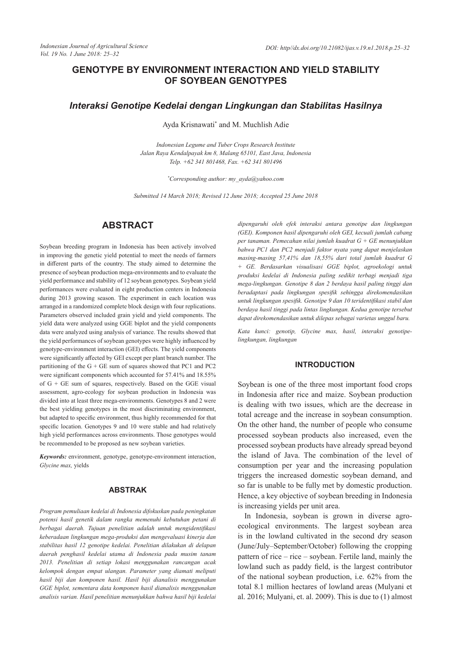# **GENOTYPE BY ENVIRONMENT INTERACTION AND YIELD STABILITY OF SOYBEAN GENOTYPES**

## *Interaksi Genotipe Kedelai dengan Lingkungan dan Stabilitas Hasilnya*

Ayda Krisnawati\* and M. Muchlish Adie

*Indonesian Legume and Tuber Crops Research Institute Jalan Raya Kendalpayak km 8, Malang 65101, East Java, Indonesia Telp. +62 341 801468, Fax. +62 341 801496*

*\*Corresponding author: my\_ayda@yahoo.com*

*Submitted 14 March 2018; Revised 12 June 2018; Accepted 25 June 2018*

# **ABSTRACT**

Soybean breeding program in Indonesia has been actively involved in improving the genetic yield potential to meet the needs of farmers in different parts of the country. The study aimed to determine the presence of soybean production mega-environments and to evaluate the yield performance and stability of 12 soybean genotypes. Soybean yield performances were evaluated in eight production centers in Indonesia during 2013 growing season. The experiment in each location was arranged in a randomized complete block design with four replications. Parameters observed included grain yield and yield components. The yield data were analyzed using GGE biplot and the yield components data were analyzed using analysis of variance. The results showed that the yield performances of soybean genotypes were highly influenced by genotype-environment interaction (GEI) effects. The yield components were significantly affected by GEI except per plant branch number. The partitioning of the  $G + GE$  sum of squares showed that PC1 and PC2 were significant components which accounted for 57.41% and 18.55% of  $G + GE$  sum of squares, respectively. Based on the GGE visual assessment, agro-ecology for soybean production in Indonesia was divided into at least three mega-environments. Genotypes 8 and 2 were the best yielding genotypes in the most discriminating environment, but adapted to specific environment, thus highly recommended for that specific location. Genotypes 9 and 10 were stable and had relatively high yield performances across environments. Those genotypes would be recommended to be proposed as new soybean varieties.

*Keywords:* environment, genotype, genotype-environment interaction, *Glycine max,* yields

## **ABSTRAK**

*Program pemuliaan kedelai di Indonesia difokuskan pada peningkatan potensi hasil genetik dalam rangka memenuhi kebutuhan petani di berbagai daerah. Tujuan penelitian adalah untuk mengidentifikasi keberadaan lingkungan mega-produksi dan mengevaluasi kinerja dan stabilitas hasil 12 genotipe kedelai. Penelitian dilakukan di delapan daerah penghasil kedelai utama di Indonesia pada musim tanam 2013. Penelitian di setiap lokasi menggunakan rancangan acak kelompok dengan empat ulangan. Parameter yang diamati meliputi hasil biji dan komponen hasil. Hasil biji dianalisis menggunakan GGE biplot, sementara data komponen hasil dianalisis menggunakan analisis varian. Hasil penelitian menunjukkan bahwa hasil biji kedelai* 

*dipengaruhi oleh efek interaksi antara genotipe dan lingkungan (GEI). Komponen hasil dipengaruhi oleh GEI, kecuali jumlah cabang per tanaman. Pemecahan nilai jumlah kuadrat G + GE menunjukkan bahwa PC1 dan PC2 menjadi faktor nyata yang dapat menjelaskan masing-masing 57,41% dan 18,55% dari total jumlah kuadrat G + GE. Berdasarkan visualisasi GGE biplot, agroekologi untuk produksi kedelai di Indonesia paling sedikit terbagi menjadi tiga mega-lingkungan. Genotipe 8 dan 2 berdaya hasil paling tinggi dan beradaptasi pada lingkungan spesifik sehingga direkomendasikan untuk lingkungan spesifik. Genotipe 9 dan 10 teridentifikasi stabil dan berdaya hasil tinggi pada lintas lingkungan. Kedua genotipe tersebut dapat direkomendasikan untuk dilepas sebagai varietas unggul baru.* 

*Kata kunci: genotip, Glycine max, hasil, interaksi genotipelingkungan, lingkungan*

#### **INTRODUCTION**

Soybean is one of the three most important food crops in Indonesia after rice and maize. Soybean production is dealing with two issues, which are the decrease in total acreage and the increase in soybean consumption. On the other hand, the number of people who consume processed soybean products also increased, even the processed soybean products have already spread beyond the island of Java. The combination of the level of consumption per year and the increasing population triggers the increased domestic soybean demand, and so far is unable to be fully met by domestic production. Hence, a key objective of soybean breeding in Indonesia is increasing yields per unit area.

In Indonesia, soybean is grown in diverse agroecological environments. The largest soybean area is in the lowland cultivated in the second dry season (June/July–September/October) following the cropping pattern of rice – rice – soybean. Fertile land, mainly the lowland such as paddy field, is the largest contributor of the national soybean production, i.e. 62% from the total 8.1 million hectares of lowland areas (Mulyani et al. 2016; Mulyani, et. al. 2009). This is due to (1) almost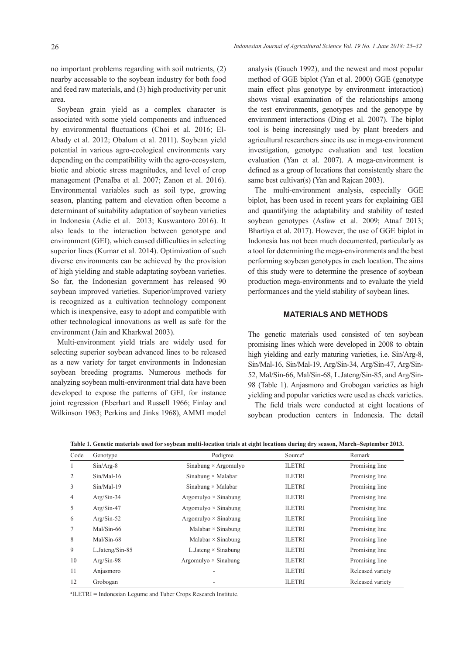no important problems regarding with soil nutrients, (2) nearby accessable to the soybean industry for both food and feed raw materials, and (3) high productivity per unit area.

Soybean grain yield as a complex character is associated with some yield components and influenced by environmental fluctuations (Choi et al. 2016; El-Abady et al. 2012; Obalum et al. 2011). Soybean yield potential in various agro-ecological environments vary depending on the compatibility with the agro-ecosystem, biotic and abiotic stress magnitudes, and level of crop management (Penalba et al. 2007; Zanon et al. 2016). Environmental variables such as soil type, growing season, planting pattern and elevation often become a determinant of suitability adaptation of soybean varieties in Indonesia (Adie et al. 2013; Kuswantoro 2016). It also leads to the interaction between genotype and environment (GEI), which caused difficulties in selecting superior lines (Kumar et al. 2014). Optimization of such diverse environments can be achieved by the provision of high yielding and stable adaptating soybean varieties. So far, the Indonesian government has released 90 soybean improved varieties. Superior/improved variety is recognized as a cultivation technology component which is inexpensive, easy to adopt and compatible with other technological innovations as well as safe for the environment (Jain and Kharkwal 2003).

Multi-environment yield trials are widely used for selecting superior soybean advanced lines to be released as a new variety for target environments in Indonesian soybean breeding programs. Numerous methods for analyzing soybean multi-environment trial data have been developed to expose the patterns of GEI, for instance joint regression (Eberhart and Russell 1966; Finlay and Wilkinson 1963; Perkins and Jinks 1968), AMMI model

analysis (Gauch 1992), and the newest and most popular method of GGE biplot (Yan et al. 2000) GGE (genotype main effect plus genotype by environment interaction) shows visual examination of the relationships among the test environments, genotypes and the genotype by environment interactions (Ding et al. 2007). The biplot tool is being increasingly used by plant breeders and agricultural researchers since its use in mega-environment investigation, genotype evaluation and test location evaluation (Yan et al. 2007). A mega-environment is defined as a group of locations that consistently share the same best cultivar(s) (Yan and Rajcan 2003).

The multi-environment analysis, especially GGE biplot, has been used in recent years for explaining GEI and quantifying the adaptability and stability of tested soybean genotypes (Asfaw et al. 2009; Atnaf 2013; Bhartiya et al. 2017). However, the use of GGE biplot in Indonesia has not been much documented, particularly as a tool for determining the mega-environments and the best performing soybean genotypes in each location. The aims of this study were to determine the presence of soybean production mega-environments and to evaluate the yield performances and the yield stability of soybean lines.

#### **MATERIALS AND METHODS**

The genetic materials used consisted of ten soybean promising lines which were developed in 2008 to obtain high yielding and early maturing varieties, i.e. Sin/Arg-8, Sin/Mal-16, Sin/Mal-19, Arg/Sin-34, Arg/Sin-47, Arg/Sin-52, Mal/Sin-66, Mal/Sin-68, L.Jateng/Sin-85, and Arg/Sin-98 (Table 1). Anjasmoro and Grobogan varieties as high yielding and popular varieties were used as check varieties.

The field trials were conducted at eight locations of soybean production centers in Indonesia. The detail

| Code           | Genotype          | Pedigree                    | Source <sup>a</sup> | Remark           |
|----------------|-------------------|-----------------------------|---------------------|------------------|
| $\mathbf{1}$   | $Sin/Arg-8$       | Sinabung $\times$ Argomulyo | <b>ILETRI</b>       | Promising line   |
| 2              | $Sin/Mal-16$      | Sinabung $\times$ Malabar   | <b>ILETRI</b>       | Promising line   |
| 3              | $Sin/Mal-19$      | Sinabung $\times$ Malabar   | <b>ILETRI</b>       | Promising line   |
| $\overline{4}$ | $Arg/Sin-34$      | Argomulyo $\times$ Sinabung | <b>ILETRI</b>       | Promising line   |
| 5              | $Arg/Sin-47$      | Argomulyo $\times$ Sinabung | <b>ILETRI</b>       | Promising line   |
| 6              | $Arg/Sin-52$      | Argomulyo $\times$ Sinabung | <b>ILETRI</b>       | Promising line   |
| 7              | $Mal/Sin-66$      | Malabar $\times$ Sinabung   | <b>ILETRI</b>       | Promising line   |
| 8              | $Mal/Sin-68$      | Malabar $\times$ Sinabung   | <b>ILETRI</b>       | Promising line   |
| 9              | $L.Jateng/Sin-85$ | L. Jateng $\times$ Sinabung | <b>ILETRI</b>       | Promising line   |
| 10             | $Arg/Sin-98$      | Argomulyo $\times$ Sinabung | <b>ILETRI</b>       | Promising line   |
| 11             | Anjasmoro         | ٠                           | <b>ILETRI</b>       | Released variety |
| 12             | Grobogan          |                             | <b>ILETRI</b>       | Released variety |

**Table 1. Genetic materials used for soybean multi-location trials at eight locations during dry season, March–September 2013.**

**a** ILETRI = Indonesian Legume and Tuber Crops Research Institute.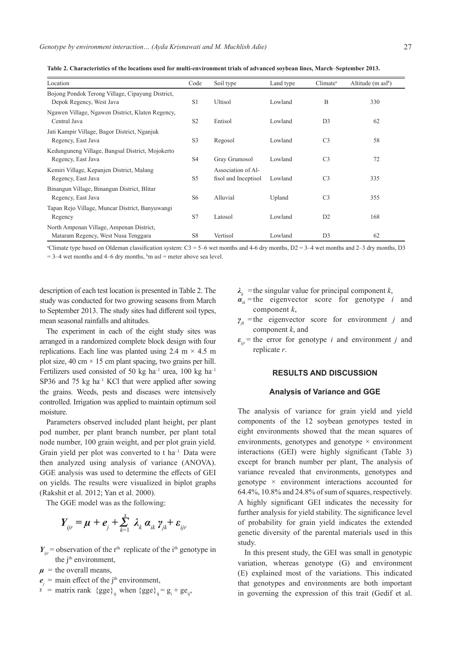| Location                                                                        | Code           | Soil type                                  | Land type | Climate <sup>a</sup> | Altitude $(m \text{ as} l^b)$ |
|---------------------------------------------------------------------------------|----------------|--------------------------------------------|-----------|----------------------|-------------------------------|
| Bojong Pondok Terong Village, Cipayung District,<br>Depok Regency, West Java    | S1             | <b>Ultisol</b>                             | Lowland   | B                    | 330                           |
| Ngawen Village, Ngawen District, Klaten Regency,<br>Central Java                | S <sub>2</sub> | Entisol                                    | Lowland   | D <sub>3</sub>       | 62                            |
| Jati Kampir Village, Bagor District, Nganjuk<br>Regency, East Java              | S <sub>3</sub> | Regosol                                    | Lowland   | C <sub>3</sub>       | 58                            |
| Kedunguneng Village, Bangsal District, Mojokerto<br>Regency, East Java          | S <sub>4</sub> | Gray Grumosol                              | Lowland   | C <sub>3</sub>       | 72                            |
| Kemiri Village, Kepanjen District, Malang<br>Regency, East Java                 | S <sub>5</sub> | Association of Al-<br>fisol and Inceptisol | Lowland   | C <sub>3</sub>       | 335                           |
| Binangun Village, Binangun District, Blitar<br>Regency, East Java               | S <sub>6</sub> | Alluvial                                   | Upland    | C <sub>3</sub>       | 355                           |
| Tapan Rejo Village, Muncar District, Banyuwangi<br>Regency                      | S7             | Latosol                                    | Lowland   | D2                   | 168                           |
| North Ampenan Village, Ampenan District,<br>Mataram Regency, West Nusa Tenggara | S8             | Vertisol                                   | Lowland   | D <sub>3</sub>       | 62                            |

**Table 2. Characteristics of the locations used for multi-environment trials of advanced soybean lines, March**–**September 2013.**

<sup>a</sup>Climate type based on Oldeman classification system: C3 = 5–6 wet months and 4-6 dry months, D2 = 3–4 wet months and 2–3 dry months, D3  $= 3-4$  wet months and 4–6 dry months, <sup>b</sup>m asl = meter above sea level.

description of each test location is presented in Table 2. The study was conducted for two growing seasons from March to September 2013. The study sites had different soil types, mean seasonal rainfalls and altitudes.

The experiment in each of the eight study sites was arranged in a randomized complete block design with four replications. Each line was planted using 2.4 m  $\times$  4.5 m plot size, 40 cm  $\times$  15 cm plant spacing, two grains per hill. Fertilizers used consisted of 50 kg ha<sup>-1</sup> urea, 100 kg ha<sup>-1</sup> SP36 and 75 kg ha<sup>-1</sup> KCl that were applied after sowing the grains. Weeds, pests and diseases were intensively controlled. Irrigation was applied to maintain optimum soil moisture.

Parameters observed included plant height, per plant pod number, per plant branch number, per plant total node number, 100 grain weight, and per plot grain yield. Grain yield per plot was converted to t ha<sup>-1.</sup> Data were then analyzed using analysis of variance (ANOVA). GGE analysis was used to determine the effects of GEI on yields. The results were visualized in biplot graphs (Rakshit et al. 2012; Yan et al. 2000).

The GGE model was as the following:

$$
Y_{ijr} = \mu + e_j + \sum_{k=1}^{\chi} \lambda_k \alpha_{ik} \gamma_{jk} + \varepsilon_{ijr}
$$

 $Y_{ijr}$  = observation of the r<sup>th</sup> replicate of the i<sup>th</sup> genotype in the j<sup>th</sup> environment,

- $\mu$  = the overall means,
- $e_i$  = main effect of the j<sup>th</sup> environment,
- $\alpha$  = matrix rank {gge}<sub>ij</sub> when {gge}<sub>ij</sub> = g<sub>i</sub> + ge<sub>ij</sub>,

 $\lambda_k$  = the singular value for principal component *k*,

- $a_i$  = the eigenvector score for genotype *i* and component *k*,
- $\gamma_{jk}$  = the eigenvector score for environment *j* and component *k*, and
- $\varepsilon$ <sub>*ijr*</sub> = the error for genotype *i* and environment *j* and replicate *r*.

### **RESULTS AND DISCUSSION**

#### **Analysis of Variance and GGE**

The analysis of variance for grain yield and yield components of the 12 soybean genotypes tested in eight environments showed that the mean squares of environments, genotypes and genotype  $\times$  environment interactions (GEI) were highly significant (Table 3) except for branch number per plant, The analysis of variance revealed that environments, genotypes and genotype × environment interactions accounted for 64.4%, 10.8% and 24.8% of sum of squares, respectively. A highly significant GEI indicates the necessity for further analysis for yield stability. The significance level of probability for grain yield indicates the extended genetic diversity of the parental materials used in this study.

In this present study, the GEI was small in genotypic variation, whereas genotype (G) and environment (E) explained most of the variations. This indicated that genotypes and environments are both important in governing the expression of this trait (Gedif et al.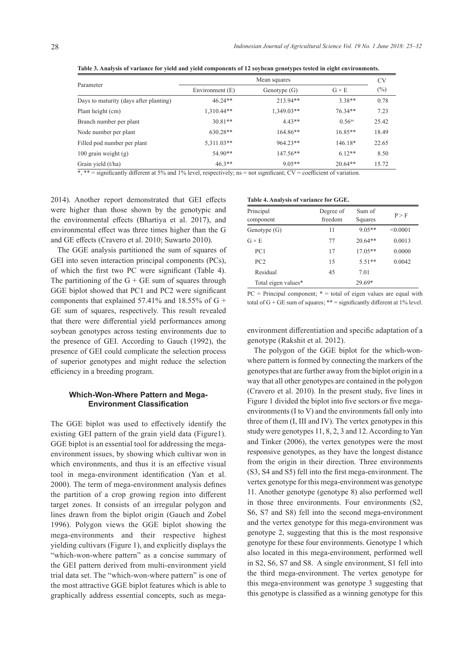**Table 3. Analysis of variance for yield and yield components of 12 soybean genotypes tested in eight environments.**

|                                        | Mean squares    |              |                    |       |  |  |
|----------------------------------------|-----------------|--------------|--------------------|-------|--|--|
| Parameter                              | Environment (E) | $G \times E$ | $(\%)$             |       |  |  |
| Days to maturity (days after planting) | $46.24**$       | 213.94**     | $3.38**$           | 0.78  |  |  |
| Plant height (cm)                      | $1,310.44**$    | 1.349.03**   | 76.34**            | 7.23  |  |  |
| Branch number per plant                | $30.81**$       | $4.43**$     | 0.56 <sup>ns</sup> | 25.42 |  |  |
| Node number per plant                  | $630.28**$      | 164.86**     | $16.85**$          | 18.49 |  |  |
| Filled pod number per plant            | 5,311.03**      | $964.23**$   | $146.18*$          | 22.65 |  |  |
| $100$ grain weight $(g)$               | 54.90**         | 147.56**     | $6.12**$           | 8.50  |  |  |
| Grain yield (t/ha)                     | $46.3**$        | $9.05**$     | $20.64**$          | 15.72 |  |  |

 $*$ ,  $**$  = significantly different at 5% and 1% level, respectively; ns = not significant; CV = coefficient of variation.

2014). Another report demonstrated that GEI effects were higher than those shown by the genotypic and the environmental effects (Bhartiya et al. 2017), and environmental effect was three times higher than the G and GE effects (Cravero et al. 2010; Suwarto 2010).

The GGE analysis partitioned the sum of squares of GEI into seven interaction principal components (PCs), of which the first two PC were significant (Table 4). The partitioning of the  $G + GE$  sum of squares through GGE biplot showed that PC1 and PC2 were significant components that explained 57.41% and 18.55% of  $G +$ GE sum of squares, respectively. This result revealed that there were differential yield performances among soybean genotypes across testing environments due to the presence of GEI. According to Gauch (1992), the presence of GEI could complicate the selection process of superior genotypes and might reduce the selection efficiency in a breeding program.

## **Which-Won-Where Pattern and Mega-Environment Classification**

The GGE biplot was used to effectively identify the existing GEI pattern of the grain yield data (Figure1). GGE biplot is an essential tool for addressing the megaenvironment issues, by showing which cultivar won in which environments, and thus it is an effective visual tool in mega-environment identification (Yan et al. 2000). The term of mega-environment analysis defines the partition of a crop growing region into different target zones. It consists of an irregular polygon and lines drawn from the biplot origin (Gauch and Zobel 1996). Polygon views the GGE biplot showing the mega-environments and their respective highest yielding cultivars (Figure 1), and explicitly displays the "which-won-where pattern" as a concise summary of the GEI pattern derived from multi-environment yield trial data set. The "which-won-where pattern" is one of the most attractive GGE biplot features which is able to graphically address essential concepts, such as mega-

#### **Table 4. Analysis of variance for GGE.**

| Principal           | Degree of | Sum of    | P > F    |
|---------------------|-----------|-----------|----------|
| component           | freedom   | Squares   |          |
| Genotype(G)         | 11        | $9.05**$  | < 0.0001 |
| $G \times E$        | 77        | $20.64**$ | 0.0013   |
| PC <sub>1</sub>     | 17        | $17.05**$ | 0.0000   |
| PC2                 | 15        | $5.51**$  | 0.0042   |
| Residual            | 45        | 7.01      |          |
| Total eigen values* |           | 29.69*    |          |

 $PC = Principal component; * = total of eigen values are equal with$ total of  $G$  +  $GE$  sum of squares; \*\* = significantly different at 1% level.

environment differentiation and specific adaptation of a genotype (Rakshit et al. 2012).

The polygon of the GGE biplot for the which-wonwhere pattern is formed by connecting the markers of the genotypes that are further away from the biplot origin in a way that all other genotypes are contained in the polygon (Cravero et al. 2010). In the present study, five lines in Figure 1 divided the biplot into five sectors or five megaenvironments (I to V) and the environments fall only into three of them (I, III and IV). The vertex genotypes in this study were genotypes 11, 8, 2, 3 and 12. According to Yan and Tinker (2006), the vertex genotypes were the most responsive genotypes, as they have the longest distance from the origin in their direction. Three environments (S3, S4 and S5) fell into the first mega-environment. The vertex genotype for this mega-environment was genotype 11. Another genotype (genotype 8) also performed well in those three environments. Four environments (S2, S6, S7 and S8) fell into the second mega-environment and the vertex genotype for this mega-environment was genotype 2, suggesting that this is the most responsive genotype for these four environments. Genotype 1 which also located in this mega-environment, performed well in S2, S6, S7 and S8. A single environment, S1 fell into the third mega-environment. The vertex genotype for this mega-environment was genotype 3 suggesting that this genotype is classified as a winning genotype for this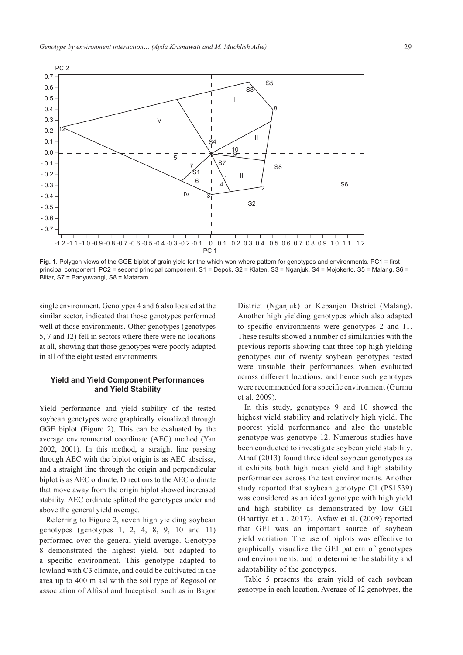

**Fig. 1**. Polygon views of the GGE-biplot of grain yield for the which-won-where pattern for genotypes and environments. PC1 = first principal component, PC2 = second principal component, S1 = Depok, S2 = Klaten, S3 = Nganjuk, S4 = Mojokerto, S5 = Malang, S6 = Blitar, S7 = Banyuwangi, S8 = Mataram.

single environment. Genotypes 4 and 6 also located at the similar sector, indicated that those genotypes performed well at those environments. Other genotypes (genotypes 5, 7 and 12) fell in sectors where there were no locations at all, showing that those genotypes were poorly adapted in all of the eight tested environments.

## **Yield and Yield Component Performances and Yield Stability**

Yield performance and yield stability of the tested soybean genotypes were graphically visualized through GGE biplot (Figure 2). This can be evaluated by the average environmental coordinate (AEC) method (Yan 2002, 2001). In this method, a straight line passing through AEC with the biplot origin is as AEC abscissa, and a straight line through the origin and perpendicular biplot is as AEC ordinate. Directions to the AEC ordinate that move away from the origin biplot showed increased stability. AEC ordinate splitted the genotypes under and above the general yield average.

Referring to Figure 2, seven high yielding soybean genotypes (genotypes  $1, 2, 4, 8, 9, 10$  and  $11$ ) performed over the general yield average. Genotype 8 demonstrated the highest yield, but adapted to a specific environment. This genotype adapted to lowland with C3 climate, and could be cultivated in the area up to 400 m asl with the soil type of Regosol or association of Alfisol and Inceptisol, such as in Bagor District (Nganjuk) or Kepanjen District (Malang). Another high yielding genotypes which also adapted to specific environments were genotypes 2 and 11. These results showed a number of similarities with the previous reports showing that three top high yielding genotypes out of twenty soybean genotypes tested were unstable their performances when evaluated across different locations, and hence such genotypes were recommended for a specific environment (Gurmu et al. 2009).

In this study, genotypes 9 and 10 showed the highest yield stability and relatively high yield. The poorest yield performance and also the unstable genotype was genotype 12. Numerous studies have been conducted to investigate soybean yield stability. Atnaf (2013) found three ideal soybean genotypes as it exhibits both high mean yield and high stability performances across the test environments. Another study reported that soybean genotype C1 (PS1539) was considered as an ideal genotype with high yield and high stability as demonstrated by low GEI (Bhartiya et al. 2017). Asfaw et al. (2009) reported that GEI was an important source of soybean yield variation. The use of biplots was effective to graphically visualize the GEI pattern of genotypes and environments, and to determine the stability and adaptability of the genotypes.

Table 5 presents the grain yield of each soybean genotype in each location. Average of 12 genotypes, the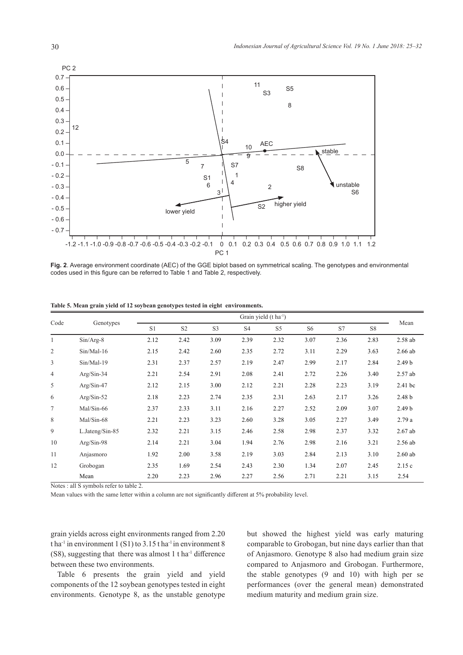

**Fig. 2**. Average environment coordinate (AEC) of the GGE biplot based on symmetrical scaling. The genotypes and environmental codes used in this figure can be referred to Table 1 and Table 2, respectively.

| Code           | Genotypes       | Grain yield (t ha <sup>-1</sup> ) |                |                |                |                |                |      |      |                   |
|----------------|-----------------|-----------------------------------|----------------|----------------|----------------|----------------|----------------|------|------|-------------------|
|                |                 | S1                                | S <sub>2</sub> | S <sub>3</sub> | S <sub>4</sub> | S <sub>5</sub> | S <sub>6</sub> | S7   | S8   | Mean              |
| $\mathbf{1}$   | $Sin/Arg-8$     | 2.12                              | 2.42           | 3.09           | 2.39           | 2.32           | 3.07           | 2.36 | 2.83 | $2.58$ ab         |
| $\overline{c}$ | $Sin/Mal-16$    | 2.15                              | 2.42           | 2.60           | 2.35           | 2.72           | 3.11           | 2.29 | 3.63 | $2.66$ ab         |
| 3              | $Sin/Mal-19$    | 2.31                              | 2.37           | 2.57           | 2.19           | 2.47           | 2.99           | 2.17 | 2.84 | 2.49 <sub>b</sub> |
| $\overline{4}$ | Arg/Sin-34      | 2.21                              | 2.54           | 2.91           | 2.08           | 2.41           | 2.72           | 2.26 | 3.40 | $2.57$ ab         |
| 5              | $Arg/Sin-47$    | 2.12                              | 2.15           | 3.00           | 2.12           | 2.21           | 2.28           | 2.23 | 3.19 | 2.41 bc           |
| 6              | $Arg/Sin-52$    | 2.18                              | 2.23           | 2.74           | 2.35           | 2.31           | 2.63           | 2.17 | 3.26 | 2.48 <sub>b</sub> |
| $\tau$         | Mal/Sin-66      | 2.37                              | 2.33           | 3.11           | 2.16           | 2.27           | 2.52           | 2.09 | 3.07 | 2.49 <sub>b</sub> |
| 8              | $Mal/Sin-68$    | 2.21                              | 2.23           | 3.23           | 2.60           | 3.28           | 3.05           | 2.27 | 3.49 | 2.79a             |
| 9              | L.Jateng/Sin-85 | 2.32                              | 2.21           | 3.15           | 2.46           | 2.58           | 2.98           | 2.37 | 3.32 | $2.67$ ab         |
| 10             | $Arg/Sin-98$    | 2.14                              | 2.21           | 3.04           | 1.94           | 2.76           | 2.98           | 2.16 | 3.21 | $2.56$ ab         |
| 11             | Anjasmoro       | 1.92                              | 2.00           | 3.58           | 2.19           | 3.03           | 2.84           | 2.13 | 3.10 | $2.60$ ab         |
| 12             | Grobogan        | 2.35                              | 1.69           | 2.54           | 2.43           | 2.30           | 1.34           | 2.07 | 2.45 | 2.15c             |
|                | Mean            | 2.20                              | 2.23           | 2.96           | 2.27           | 2.56           | 2.71           | 2.21 | 3.15 | 2.54              |

**Table 5. Mean grain yield of 12 soybean genotypes tested in eight environments.**

Notes : all S symbols refer to table 2.

Mean values with the same letter within a column are not significantly different at 5% probability level.

grain yields across eight environments ranged from 2.20 t ha<sup>-1</sup> in environment 1 (S1) to 3.15 t ha<sup>-1</sup> in environment 8  $(S8)$ , suggesting that there was almost 1 t ha<sup>-1</sup> difference between these two environments.

Table 6 presents the grain yield and yield components of the 12 soybean genotypes tested in eight environments. Genotype 8, as the unstable genotype but showed the highest yield was early maturing comparable to Grobogan, but nine days earlier than that of Anjasmoro. Genotype 8 also had medium grain size compared to Anjasmoro and Grobogan. Furthermore, the stable genotypes (9 and 10) with high per se performances (over the general mean) demonstrated medium maturity and medium grain size.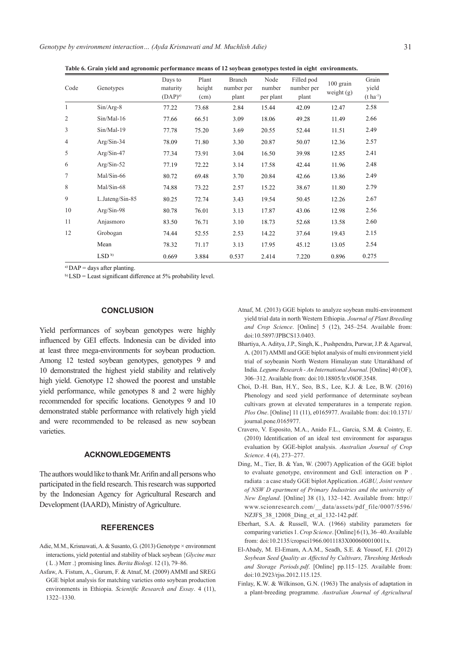*Genotype by environment interaction… (Ayda Krisnawati and M. Muchlish Adie)* 31

**Table 6. Grain yield and agronomic performance means of 12 soybean genotypes tested in eight environments.**

| Code           | Genotypes        | Days to<br>maturity<br>$(DAP)^{a}$ | Plant<br>height<br>(cm) | <b>Branch</b><br>number per<br>plant | Node<br>number<br>per plant | Filled pod<br>number per<br>plant | 100 grain<br>weight $(g)$ | Grain<br>yield<br>$(t \text{ ha}^{-1})$ |
|----------------|------------------|------------------------------------|-------------------------|--------------------------------------|-----------------------------|-----------------------------------|---------------------------|-----------------------------------------|
| $\mathbf{1}$   | $Sin/Arg-8$      | 77.22                              | 73.68                   | 2.84                                 | 15.44                       | 42.09                             | 12.47                     | 2.58                                    |
| $\overline{2}$ | $Sin/Mal-16$     | 77.66                              | 66.51                   | 3.09                                 | 18.06                       | 49.28                             | 11.49                     | 2.66                                    |
| 3              | $Sin/Mal-19$     | 77.78                              | 75.20                   | 3.69                                 | 20.55                       | 52.44                             | 11.51                     | 2.49                                    |
| $\overline{4}$ | $Arg/Sin-34$     | 78.09                              | 71.80                   | 3.30                                 | 20.87                       | 50.07                             | 12.36                     | 2.57                                    |
| 5              | $Arg/Sin-47$     | 77.34                              | 73.91                   | 3.04                                 | 16.50                       | 39.98                             | 12.85                     | 2.41                                    |
| 6              | $Arg/Sin-52$     | 77.19                              | 72.22                   | 3.14                                 | 17.58                       | 42.44                             | 11.96                     | 2.48                                    |
| 7              | $Mal/Sin-66$     | 80.72                              | 69.48                   | 3.70                                 | 20.84                       | 42.66                             | 13.86                     | 2.49                                    |
| 8              | Mal/Sin-68       | 74.88                              | 73.22                   | 2.57                                 | 15.22                       | 38.67                             | 11.80                     | 2.79                                    |
| 9              | L.Jateng/Sin-85  | 80.25                              | 72.74                   | 3.43                                 | 19.54                       | 50.45                             | 12.26                     | 2.67                                    |
| 10             | $Arg/Sin-98$     | 80.78                              | 76.01                   | 3.13                                 | 17.87                       | 43.06                             | 12.98                     | 2.56                                    |
| 11             | Anjasmoro        | 83.50                              | 76.71                   | 3.10                                 | 18.73                       | 52.68                             | 13.58                     | 2.60                                    |
| 12             | Grobogan         | 74.44                              | 52.55                   | 2.53                                 | 14.22                       | 37.64                             | 19.43                     | 2.15                                    |
|                | Mean             | 78.32                              | 71.17                   | 3.13                                 | 17.95                       | 45.12                             | 13.05                     | 2.54                                    |
|                | LSD <sup>b</sup> | 0.669                              | 3.884                   | 0.537                                | 2.414                       | 7.220                             | 0.896                     | 0.275                                   |

a) DAP = days after planting.

 $b$ <sup>b)</sup> LSD = Least significant difference at 5% probability level.

### **CONCLUSION**

Yield performances of soybean genotypes were highly influenced by GEI effects. Indonesia can be divided into at least three mega-environments for soybean production. Among 12 tested soybean genotypes, genotypes 9 and 10 demonstrated the highest yield stability and relatively high yield. Genotype 12 showed the poorest and unstable yield performance, while genotypes 8 and 2 were highly recommended for specific locations. Genotypes 9 and 10 demonstrated stable performance with relatively high yield and were recommended to be released as new soybean varieties.

## **ACKNOWLEDGEMENTS**

The authors would like to thank Mr. Arifin and all persons who participated in the field research. This research was supported by the Indonesian Agency for Agricultural Research and Development (IAARD), Ministry of Agriculture.

#### **REFERENCES**

- Adie, M.M., Krisnawati, A. & Susanto, G. (2013) Genotype × environment interactions, yield potential and stability of black soybean {*Glycine max*  ( L .) Merr .} promising lines. *Berita Biologi*. 12 (1), 79–86.
- Asfaw, A. Fistum, A., Gurum, F. & Atnaf, M. (2009) AMMI and SREG GGE biplot analysis for matching varieties onto soybean production environments in Ethiopia. *Scientific Research and Essay*. 4 (11), 1322–1330.
- Atnaf, M. (2013) GGE biplots to analyze soybean multi-environment yield trial data in north Western Ethiopia. *Journal of Plant Breeding and Crop Science*. [Online] 5 (12), 245–254. Available from: doi:10.5897/JPBCS13.0403.
- Bhartiya, A. Aditya, J.P., Singh, K., Pushpendra, Purwar, J.P. & Agarwal, A. (2017) AMMI and GGE biplot analysis of multi environment yield trial of soybeanin North Western Himalayan state Uttarakhand of India. *Legume Research - An International Journal*. [Online] 40 (OF), 306–312. Available from: doi:10.18805/lr.v0iOF.3548.
- Choi, D.-H. Ban, H.Y., Seo, B.S., Lee, K.J. & Lee, B.W. (2016) Phenology and seed yield performance of determinate soybean cultivars grown at elevated temperatures in a temperate region. *Plos One*. [Online] 11 (11), e0165977. Available from: doi:10.1371/ journal.pone.0165977.
- Cravero, V. Esposito, M.A., Anido F.L., Garcia, S.M. & Cointry, E. (2010) Identification of an ideal test environment for asparagus evaluation by GGE-biplot analysis. *Australian Journal of Crop Science*. 4 (4), 273–277.
- Ding, M., Tier, B. & Yan, W. (2007) Application of the GGE biplot to evaluate genotype, environment and GxE interaction on P . radiata : a case study GGE biplot Application. *AGBU, Joint venture of NSW D epartment of Primary Industries and the university of New England*. [Online] 38 (1), 132–142. Available from: http:// www.scionresearch.com/\_\_data/assets/pdf\_file/0007/5596/ NZJFS 38 12008 Ding et al 132-142.pdf.
- Eberhart, S.A. & Russell, W.A. (1966) stability parameters for comparing varieties 1. *Crop Science*. [Online] 6 (1), 36–40. Available from: doi:10.2135/cropsci1966.0011183X000600010011x.
- El-Abady, M. El-Emam, A.A.M., Seadh, S.E. & Yousof, F.I. (2012) *Soybean Seed Quality as Affected by Cultivars, Threshing Methods and Storage Periods.pdf*. [Online] pp.115–125. Available from: doi:10.2923/rjss.2012.115.125.
- Finlay, K.W. & Wilkinson, G.N. (1963) The analysis of adaptation in a plant-breeding programme. *Australian Journal of Agricultural*